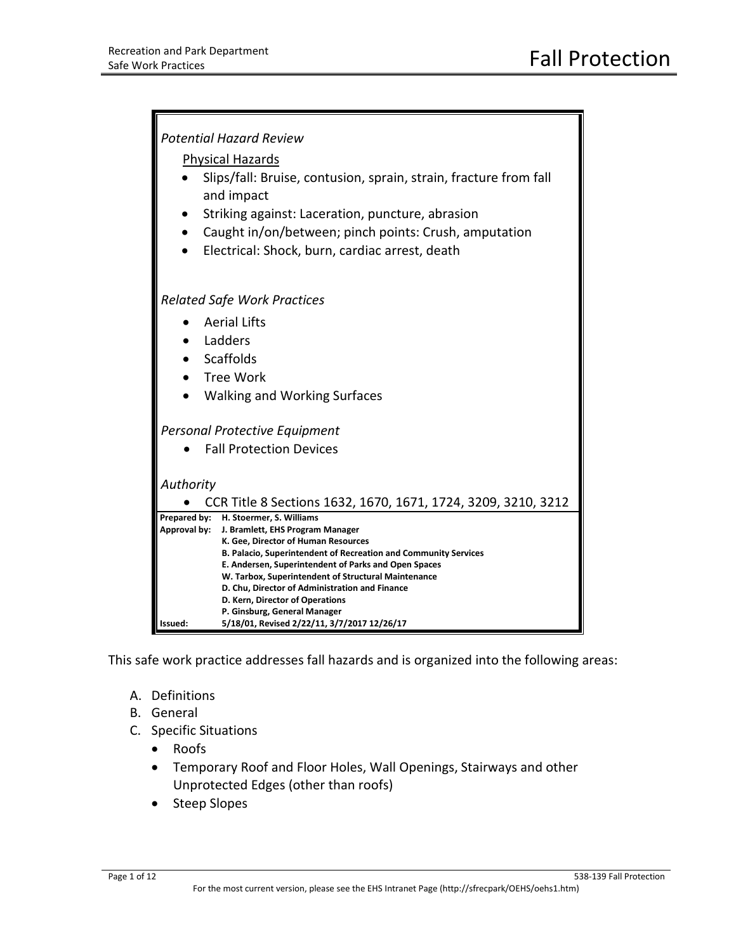

This safe work practice addresses fall hazards and is organized into the following areas:

- A. Definitions
- B. General
- C. Specific Situations
	- Roofs
	- Temporary Roof and Floor Holes, Wall Openings, Stairways and other Unprotected Edges (other than roofs)
	- Steep Slopes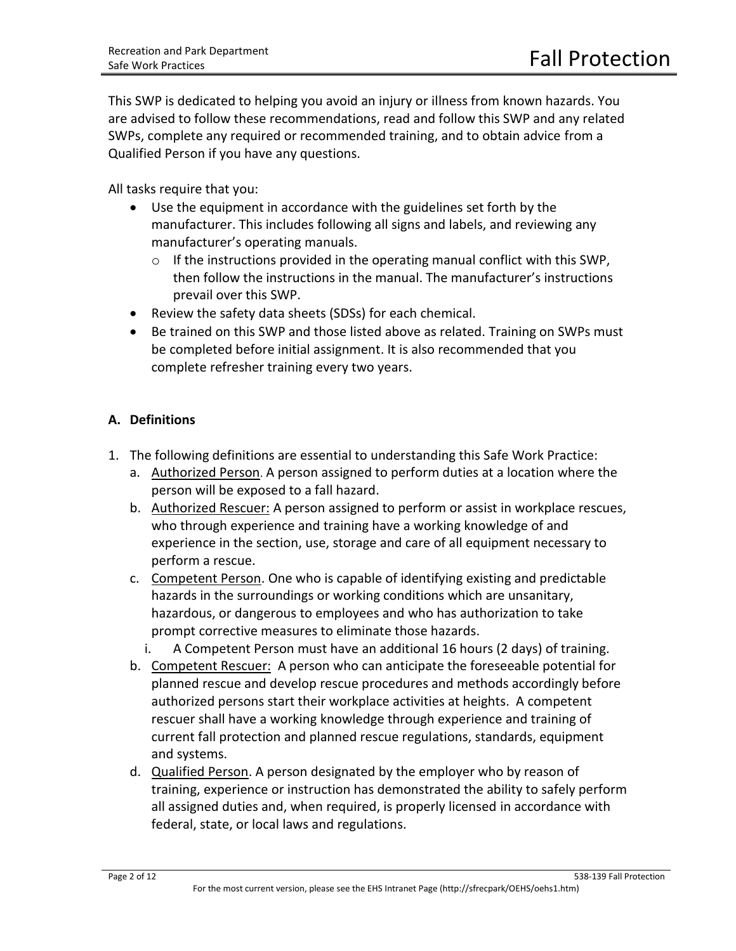This SWP is dedicated to helping you avoid an injury or illness from known hazards. You are advised to follow these recommendations, read and follow this SWP and any related SWPs, complete any required or recommended training, and to obtain advice from a Qualified Person if you have any questions.

All tasks require that you:

- Use the equipment in accordance with the guidelines set forth by the manufacturer. This includes following all signs and labels, and reviewing any manufacturer's operating manuals.
	- $\circ$  If the instructions provided in the operating manual conflict with this SWP, then follow the instructions in the manual. The manufacturer's instructions prevail over this SWP.
- Review the safety data sheets (SDSs) for each chemical.
- Be trained on this SWP and those listed above as related. Training on SWPs must be completed before initial assignment. It is also recommended that you complete refresher training every two years.

## **A. Definitions**

- 1. The following definitions are essential to understanding this Safe Work Practice:
	- a. Authorized Person. A person assigned to perform duties at a location where the person will be exposed to a fall hazard.
	- b. Authorized Rescuer: A person assigned to perform or assist in workplace rescues, who through experience and training have a working knowledge of and experience in the section, use, storage and care of all equipment necessary to perform a rescue.
	- c. Competent Person. One who is capable of identifying existing and predictable hazards in the surroundings or working conditions which are unsanitary, hazardous, or dangerous to employees and who has authorization to take prompt corrective measures to eliminate those hazards.
		- i. A Competent Person must have an additional 16 hours (2 days) of training.
	- b. Competent Rescuer: A person who can anticipate the foreseeable potential for planned rescue and develop rescue procedures and methods accordingly before authorized persons start their workplace activities at heights. A competent rescuer shall have a working knowledge through experience and training of current fall protection and planned rescue regulations, standards, equipment and systems.
	- d. Qualified Person. A person designated by the employer who by reason of training, experience or instruction has demonstrated the ability to safely perform all assigned duties and, when required, is properly licensed in accordance with federal, state, or local laws and regulations.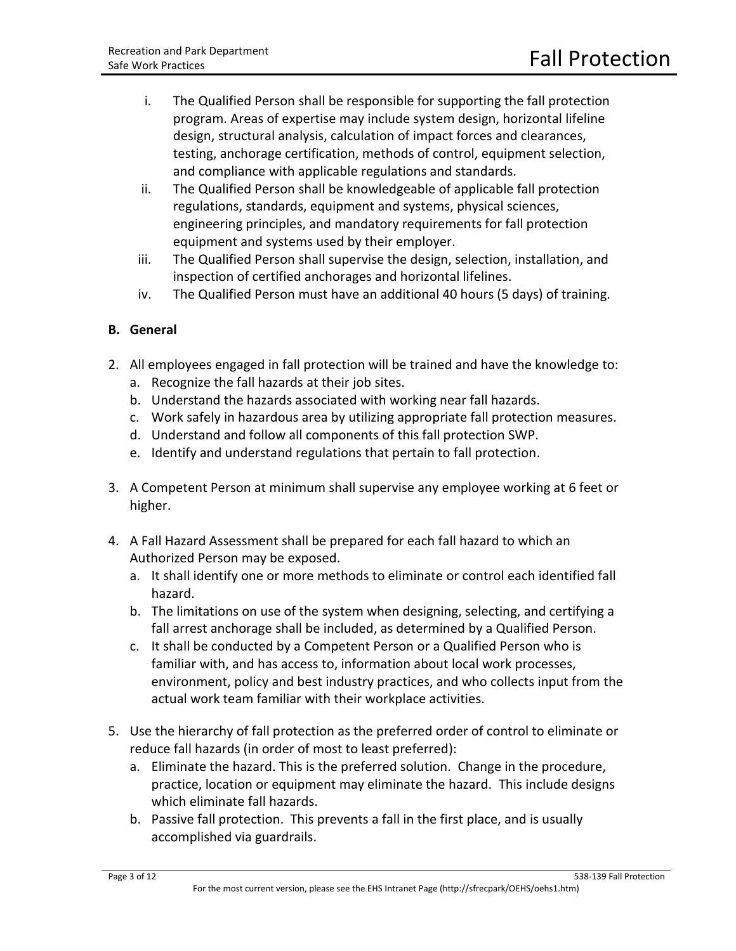- i. The Qualified Person shall be responsible for supporting the fall protection program. Areas of expertise may include system design, horizontal lifeline design, structural analysis, calculation of impact forces and clearances, testing, anchorage certification, methods of control, equipment selection, and compliance with applicable regulations and standards.
- ii. The Qualified Person shall be knowledgeable of applicable fall protection regulations, standards, equipment and systems, physical sciences, engineering principles, and mandatory requirements for fall protection equipment and systems used by their employer.
- iii. The Qualified Person shall supervise the design, selection, installation, and inspection of certified anchorages and horizontal lifelines.
- iv. The Qualified Person must have an additional 40 hours (5 days) of training.

# **B. General**

- 2. All employees engaged in fall protection will be trained and have the knowledge to:
	- a. Recognize the fall hazards at their job sites.
	- b. Understand the hazards associated with working near fall hazards.
	- c. Work safely in hazardous area by utilizing appropriate fall protection measures.
	- d. Understand and follow all components of this fall protection SWP.
	- e. Identify and understand regulations that pertain to fall protection.
- 3. A Competent Person at minimum shall supervise any employee working at 6 feet or higher.
- 4. A Fall Hazard Assessment shall be prepared for each fall hazard to which an Authorized Person may be exposed.
	- a. It shall identify one or more methods to eliminate or control each identified fall hazard.
	- b. The limitations on use of the system when designing, selecting, and certifying a fall arrest anchorage shall be included, as determined by a Qualified Person.
	- c. It shall be conducted by a Competent Person or a Qualified Person who is familiar with, and has access to, information about local work processes, environment, policy and best industry practices, and who collects input from the actual work team familiar with their workplace activities.
- 5. Use the hierarchy of fall protection as the preferred order of control to eliminate or reduce fall hazards (in order of most to least preferred):
	- a. Eliminate the hazard. This is the preferred solution. Change in the procedure, practice, location or equipment may eliminate the hazard. This include designs which eliminate fall hazards.
	- b. Passive fall protection. This prevents a fall in the first place, and is usually accomplished via guardrails.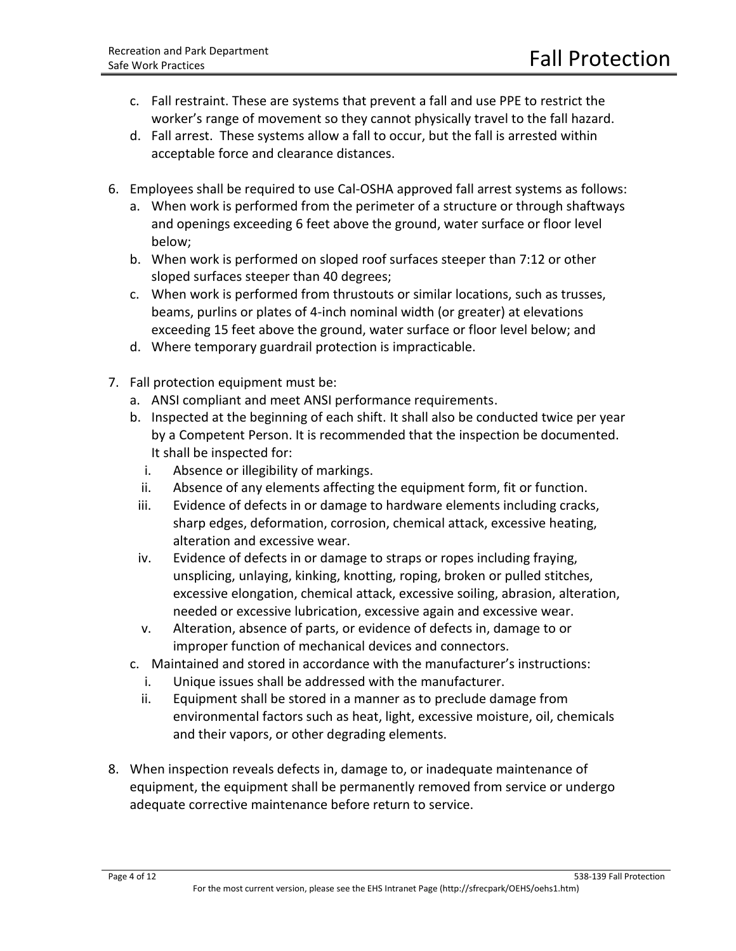- c. Fall restraint. These are systems that prevent a fall and use PPE to restrict the worker's range of movement so they cannot physically travel to the fall hazard.
- d. Fall arrest. These systems allow a fall to occur, but the fall is arrested within acceptable force and clearance distances.
- 6. Employees shall be required to use Cal-OSHA approved fall arrest systems as follows:
	- a. When work is performed from the perimeter of a structure or through shaftways and openings exceeding 6 feet above the ground, water surface or floor level below;
	- b. When work is performed on sloped roof surfaces steeper than 7:12 or other sloped surfaces steeper than 40 degrees;
	- c. When work is performed from thrustouts or similar locations, such as trusses, beams, purlins or plates of 4-inch nominal width (or greater) at elevations exceeding 15 feet above the ground, water surface or floor level below; and
	- d. Where temporary guardrail protection is impracticable.
- 7. Fall protection equipment must be:
	- a. ANSI compliant and meet ANSI performance requirements.
	- b. Inspected at the beginning of each shift. It shall also be conducted twice per year by a Competent Person. It is recommended that the inspection be documented. It shall be inspected for:
		- i. Absence or illegibility of markings.
		- ii. Absence of any elements affecting the equipment form, fit or function.
	- iii. Evidence of defects in or damage to hardware elements including cracks, sharp edges, deformation, corrosion, chemical attack, excessive heating, alteration and excessive wear.
	- iv. Evidence of defects in or damage to straps or ropes including fraying, unsplicing, unlaying, kinking, knotting, roping, broken or pulled stitches, excessive elongation, chemical attack, excessive soiling, abrasion, alteration, needed or excessive lubrication, excessive again and excessive wear.
	- v. Alteration, absence of parts, or evidence of defects in, damage to or improper function of mechanical devices and connectors.
	- c. Maintained and stored in accordance with the manufacturer's instructions:
		- i. Unique issues shall be addressed with the manufacturer.
		- ii. Equipment shall be stored in a manner as to preclude damage from environmental factors such as heat, light, excessive moisture, oil, chemicals and their vapors, or other degrading elements.
- 8. When inspection reveals defects in, damage to, or inadequate maintenance of equipment, the equipment shall be permanently removed from service or undergo adequate corrective maintenance before return to service.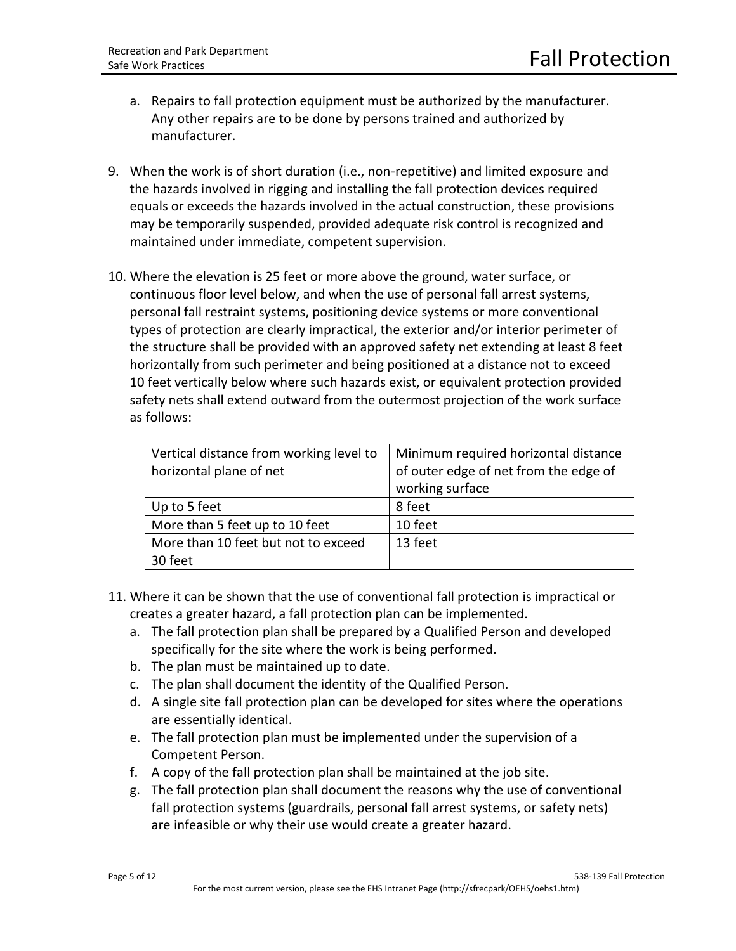- a. Repairs to fall protection equipment must be authorized by the manufacturer. Any other repairs are to be done by persons trained and authorized by manufacturer.
- 9. When the work is of short duration (i.e., non-repetitive) and limited exposure and the hazards involved in rigging and installing the fall protection devices required equals or exceeds the hazards involved in the actual construction, these provisions may be temporarily suspended, provided adequate risk control is recognized and maintained under immediate, competent supervision.
- 10. Where the elevation is 25 feet or more above the ground, water surface, or continuous floor level below, and when the use of personal fall arrest systems, personal fall restraint systems, positioning device systems or more conventional types of protection are clearly impractical, the exterior and/or interior perimeter of the structure shall be provided with an approved safety net extending at least 8 feet horizontally from such perimeter and being positioned at a distance not to exceed 10 feet vertically below where such hazards exist, or equivalent protection provided safety nets shall extend outward from the outermost projection of the work surface as follows:

| Vertical distance from working level to | Minimum required horizontal distance  |
|-----------------------------------------|---------------------------------------|
| horizontal plane of net                 | of outer edge of net from the edge of |
|                                         | working surface                       |
| Up to 5 feet                            | 8 feet                                |
| More than 5 feet up to 10 feet          | 10 feet                               |
| More than 10 feet but not to exceed     | 13 feet                               |
| 30 feet                                 |                                       |

- 11. Where it can be shown that the use of conventional fall protection is impractical or creates a greater hazard, a fall protection plan can be implemented.
	- a. The fall protection plan shall be prepared by a Qualified Person and developed specifically for the site where the work is being performed.
	- b. The plan must be maintained up to date.
	- c. The plan shall document the identity of the Qualified Person.
	- d. A single site fall protection plan can be developed for sites where the operations are essentially identical.
	- e. The fall protection plan must be implemented under the supervision of a Competent Person.
	- f. A copy of the fall protection plan shall be maintained at the job site.
	- g. The fall protection plan shall document the reasons why the use of conventional fall protection systems (guardrails, personal fall arrest systems, or safety nets) are infeasible or why their use would create a greater hazard.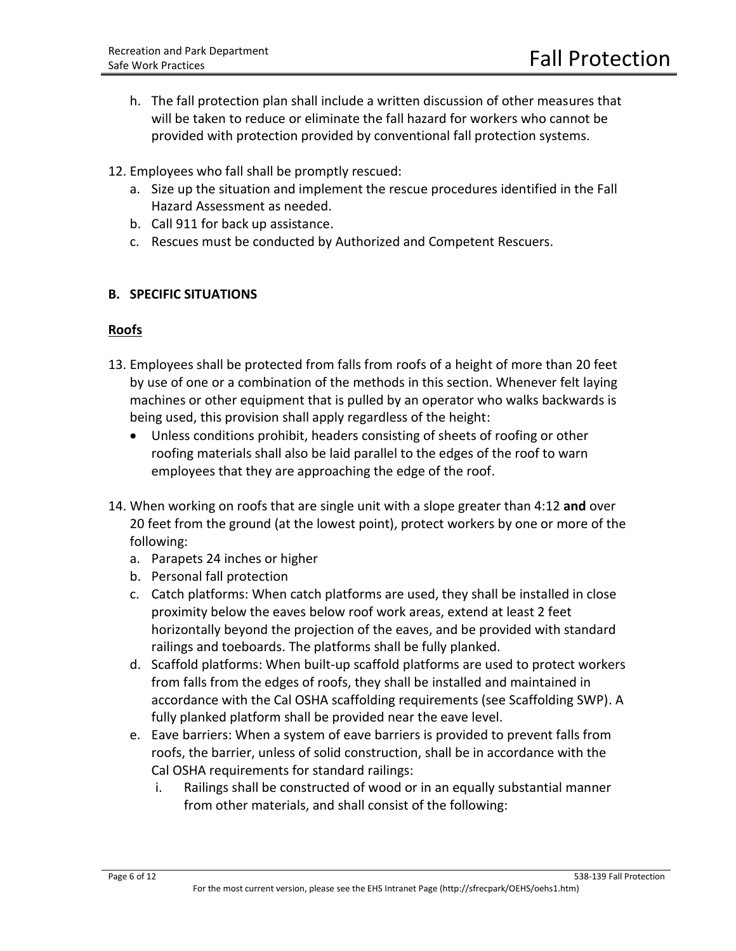- h. The fall protection plan shall include a written discussion of other measures that will be taken to reduce or eliminate the fall hazard for workers who cannot be provided with protection provided by conventional fall protection systems.
- 12. Employees who fall shall be promptly rescued:
	- a. Size up the situation and implement the rescue procedures identified in the Fall Hazard Assessment as needed.
	- b. Call 911 for back up assistance.
	- c. Rescues must be conducted by Authorized and Competent Rescuers.

## **B. SPECIFIC SITUATIONS**

#### **Roofs**

- 13. Employees shall be protected from falls from roofs of a height of more than 20 feet by use of one or a combination of the methods in this section. Whenever felt laying machines or other equipment that is pulled by an operator who walks backwards is being used, this provision shall apply regardless of the height:
	- Unless conditions prohibit, headers consisting of sheets of roofing or other roofing materials shall also be laid parallel to the edges of the roof to warn employees that they are approaching the edge of the roof.
- 14. When working on roofs that are single unit with a slope greater than 4:12 **and** over 20 feet from the ground (at the lowest point), protect workers by one or more of the following:
	- a. Parapets 24 inches or higher
	- b. Personal fall protection
	- c. Catch platforms: When catch platforms are used, they shall be installed in close proximity below the eaves below roof work areas, extend at least 2 feet horizontally beyond the projection of the eaves, and be provided with standard railings and toeboards. The platforms shall be fully planked.
	- d. Scaffold platforms: When built-up scaffold platforms are used to protect workers from falls from the edges of roofs, they shall be installed and maintained in accordance with the Cal OSHA scaffolding requirements (see Scaffolding SWP). A fully planked platform shall be provided near the eave level.
	- e. Eave barriers: When a system of eave barriers is provided to prevent falls from roofs, the barrier, unless of solid construction, shall be in accordance with the Cal OSHA requirements for standard railings:
		- i. Railings shall be constructed of wood or in an equally substantial manner from other materials, and shall consist of the following: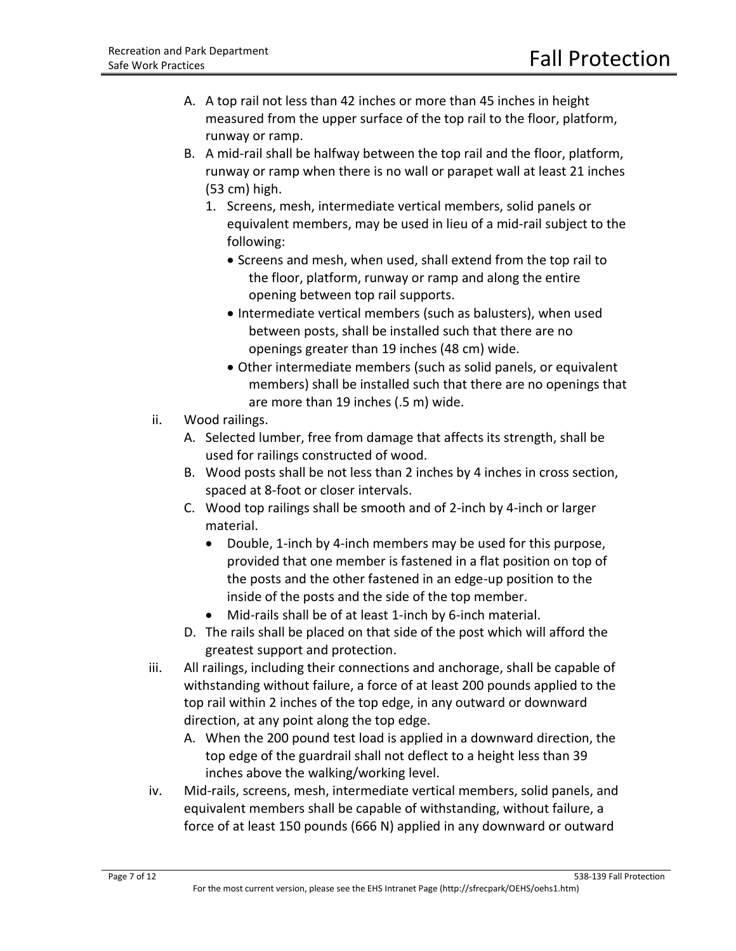- A. A top rail not less than 42 inches or more than 45 inches in height measured from the upper surface of the top rail to the floor, platform, runway or ramp.
- B. A mid-rail shall be halfway between the top rail and the floor, platform, runway or ramp when there is no wall or parapet wall at least 21 inches (53 cm) high.
	- 1. Screens, mesh, intermediate vertical members, solid panels or equivalent members, may be used in lieu of a mid-rail subject to the following:
		- Screens and mesh, when used, shall extend from the top rail to the floor, platform, runway or ramp and along the entire opening between top rail supports.
		- Intermediate vertical members (such as balusters), when used between posts, shall be installed such that there are no openings greater than 19 inches (48 cm) wide.
		- Other intermediate members (such as solid panels, or equivalent members) shall be installed such that there are no openings that are more than 19 inches (.5 m) wide.
- ii. Wood railings.
	- A. Selected lumber, free from damage that affects its strength, shall be used for railings constructed of wood.
	- B. Wood posts shall be not less than 2 inches by 4 inches in cross section, spaced at 8-foot or closer intervals.
	- C. Wood top railings shall be smooth and of 2-inch by 4-inch or larger material.
		- Double, 1-inch by 4-inch members may be used for this purpose, provided that one member is fastened in a flat position on top of the posts and the other fastened in an edge-up position to the inside of the posts and the side of the top member.
		- Mid-rails shall be of at least 1-inch by 6-inch material.
	- D. The rails shall be placed on that side of the post which will afford the greatest support and protection.
- iii. All railings, including their connections and anchorage, shall be capable of withstanding without failure, a force of at least 200 pounds applied to the top rail within 2 inches of the top edge, in any outward or downward direction, at any point along the top edge.
	- A. When the 200 pound test load is applied in a downward direction, the top edge of the guardrail shall not deflect to a height less than 39 inches above the walking/working level.
- iv. Mid-rails, screens, mesh, intermediate vertical members, solid panels, and equivalent members shall be capable of withstanding, without failure, a force of at least 150 pounds (666 N) applied in any downward or outward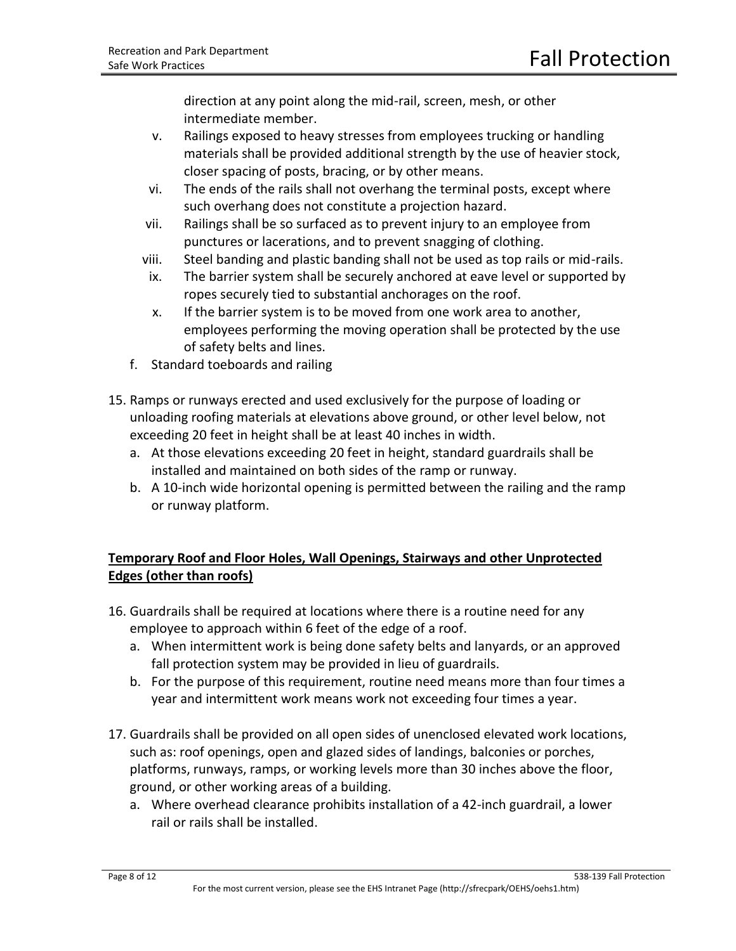direction at any point along the mid-rail, screen, mesh, or other intermediate member.

- v. Railings exposed to heavy stresses from employees trucking or handling materials shall be provided additional strength by the use of heavier stock, closer spacing of posts, bracing, or by other means.
- vi. The ends of the rails shall not overhang the terminal posts, except where such overhang does not constitute a projection hazard.
- vii. Railings shall be so surfaced as to prevent injury to an employee from punctures or lacerations, and to prevent snagging of clothing.
- viii. Steel banding and plastic banding shall not be used as top rails or mid-rails.
- ix. The barrier system shall be securely anchored at eave level or supported by ropes securely tied to substantial anchorages on the roof.
- x. If the barrier system is to be moved from one work area to another, employees performing the moving operation shall be protected by the use of safety belts and lines.
- f. Standard toeboards and railing
- 15. Ramps or runways erected and used exclusively for the purpose of loading or unloading roofing materials at elevations above ground, or other level below, not exceeding 20 feet in height shall be at least 40 inches in width.
	- a. At those elevations exceeding 20 feet in height, standard guardrails shall be installed and maintained on both sides of the ramp or runway.
	- b. A 10-inch wide horizontal opening is permitted between the railing and the ramp or runway platform.

# **Temporary Roof and Floor Holes, Wall Openings, Stairways and other Unprotected Edges (other than roofs)**

- 16. Guardrails shall be required at locations where there is a routine need for any employee to approach within 6 feet of the edge of a roof.
	- a. When intermittent work is being done safety belts and lanyards, or an approved fall protection system may be provided in lieu of guardrails.
	- b. For the purpose of this requirement, routine need means more than four times a year and intermittent work means work not exceeding four times a year.
- 17. Guardrails shall be provided on all open sides of unenclosed elevated work locations, such as: roof openings, open and glazed sides of landings, balconies or porches, platforms, runways, ramps, or working levels more than 30 inches above the floor, ground, or other working areas of a building.
	- a. Where overhead clearance prohibits installation of a 42-inch guardrail, a lower rail or rails shall be installed.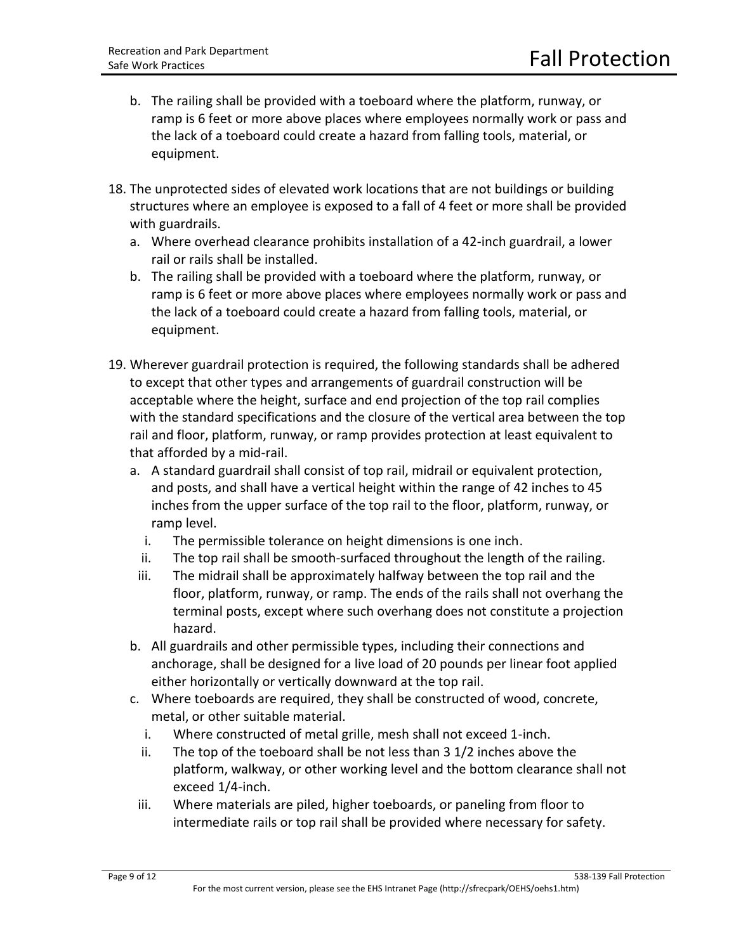- b. The railing shall be provided with a toeboard where the platform, runway, or ramp is 6 feet or more above places where employees normally work or pass and the lack of a toeboard could create a hazard from falling tools, material, or equipment.
- 18. The unprotected sides of elevated work locations that are not buildings or building structures where an employee is exposed to a fall of 4 feet or more shall be provided with guardrails.
	- a. Where overhead clearance prohibits installation of a 42-inch guardrail, a lower rail or rails shall be installed.
	- b. The railing shall be provided with a toeboard where the platform, runway, or ramp is 6 feet or more above places where employees normally work or pass and the lack of a toeboard could create a hazard from falling tools, material, or equipment.
- 19. Wherever guardrail protection is required, the following standards shall be adhered to except that other types and arrangements of guardrail construction will be acceptable where the height, surface and end projection of the top rail complies with the standard specifications and the closure of the vertical area between the top rail and floor, platform, runway, or ramp provides protection at least equivalent to that afforded by a mid-rail.
	- a. A standard guardrail shall consist of top rail, midrail or equivalent protection, and posts, and shall have a vertical height within the range of 42 inches to 45 inches from the upper surface of the top rail to the floor, platform, runway, or ramp level.
		- i. The permissible tolerance on height dimensions is one inch.
		- ii. The top rail shall be smooth-surfaced throughout the length of the railing.
	- iii. The midrail shall be approximately halfway between the top rail and the floor, platform, runway, or ramp. The ends of the rails shall not overhang the terminal posts, except where such overhang does not constitute a projection hazard.
	- b. All guardrails and other permissible types, including their connections and anchorage, shall be designed for a live load of 20 pounds per linear foot applied either horizontally or vertically downward at the top rail.
	- c. Where toeboards are required, they shall be constructed of wood, concrete, metal, or other suitable material.
		- i. Where constructed of metal grille, mesh shall not exceed 1-inch.
		- ii. The top of the toeboard shall be not less than 3 1/2 inches above the platform, walkway, or other working level and the bottom clearance shall not exceed 1/4-inch.
	- iii. Where materials are piled, higher toeboards, or paneling from floor to intermediate rails or top rail shall be provided where necessary for safety.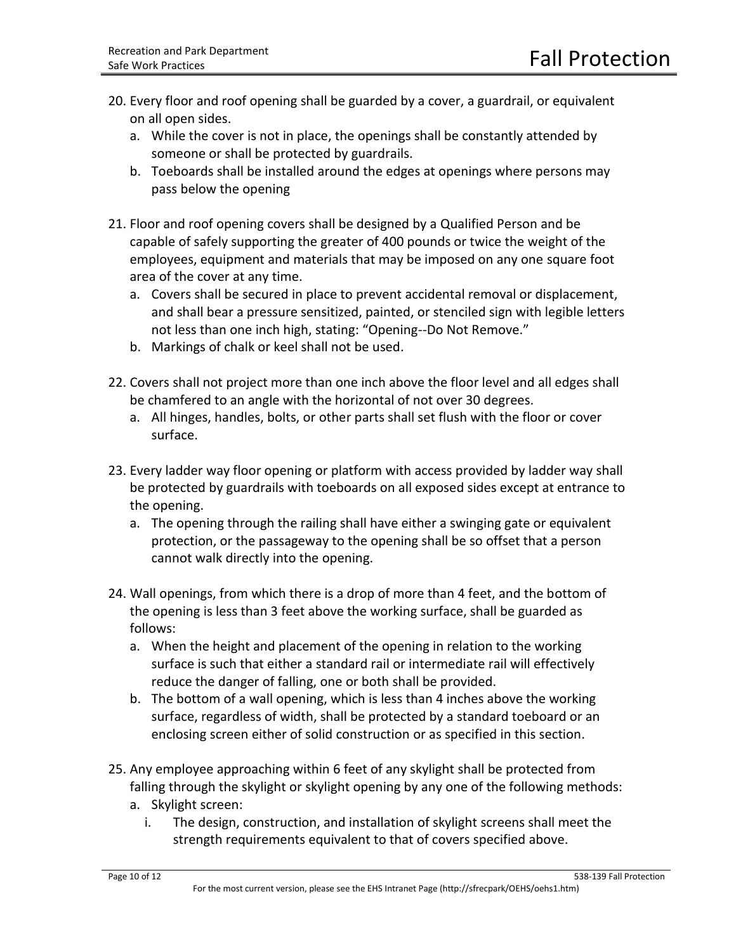- 20. Every floor and roof opening shall be guarded by a cover, a guardrail, or equivalent on all open sides.
	- a. While the cover is not in place, the openings shall be constantly attended by someone or shall be protected by guardrails.
	- b. Toeboards shall be installed around the edges at openings where persons may pass below the opening
- 21. Floor and roof opening covers shall be designed by a Qualified Person and be capable of safely supporting the greater of 400 pounds or twice the weight of the employees, equipment and materials that may be imposed on any one square foot area of the cover at any time.
	- a. Covers shall be secured in place to prevent accidental removal or displacement, and shall bear a pressure sensitized, painted, or stenciled sign with legible letters not less than one inch high, stating: "Opening--Do Not Remove."
	- b. Markings of chalk or keel shall not be used.
- 22. Covers shall not project more than one inch above the floor level and all edges shall be chamfered to an angle with the horizontal of not over 30 degrees.
	- a. All hinges, handles, bolts, or other parts shall set flush with the floor or cover surface.
- 23. Every ladder way floor opening or platform with access provided by ladder way shall be protected by guardrails with toeboards on all exposed sides except at entrance to the opening.
	- a. The opening through the railing shall have either a swinging gate or equivalent protection, or the passageway to the opening shall be so offset that a person cannot walk directly into the opening.
- 24. Wall openings, from which there is a drop of more than 4 feet, and the bottom of the opening is less than 3 feet above the working surface, shall be guarded as follows:
	- a. When the height and placement of the opening in relation to the working surface is such that either a standard rail or intermediate rail will effectively reduce the danger of falling, one or both shall be provided.
	- b. The bottom of a wall opening, which is less than 4 inches above the working surface, regardless of width, shall be protected by a standard toeboard or an enclosing screen either of solid construction or as specified in this section.
- 25. Any employee approaching within 6 feet of any skylight shall be protected from falling through the skylight or skylight opening by any one of the following methods:
	- a. Skylight screen:
		- i. The design, construction, and installation of skylight screens shall meet the strength requirements equivalent to that of covers specified above.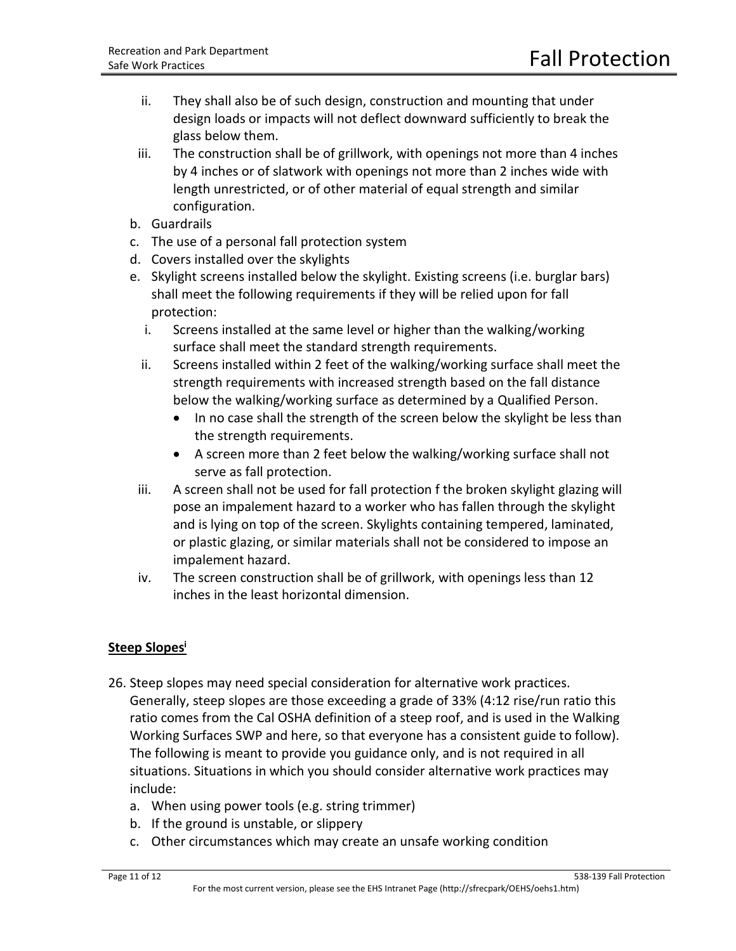- ii. They shall also be of such design, construction and mounting that under design loads or impacts will not deflect downward sufficiently to break the glass below them.
- iii. The construction shall be of grillwork, with openings not more than 4 inches by 4 inches or of slatwork with openings not more than 2 inches wide with length unrestricted, or of other material of equal strength and similar configuration.
- b. Guardrails
- c. The use of a personal fall protection system
- d. Covers installed over the skylights
- e. Skylight screens installed below the skylight. Existing screens (i.e. burglar bars) shall meet the following requirements if they will be relied upon for fall protection:
	- i. Screens installed at the same level or higher than the walking/working surface shall meet the standard strength requirements.
	- ii. Screens installed within 2 feet of the walking/working surface shall meet the strength requirements with increased strength based on the fall distance below the walking/working surface as determined by a Qualified Person.
		- In no case shall the strength of the screen below the skylight be less than the strength requirements.
		- A screen more than 2 feet below the walking/working surface shall not serve as fall protection.
- iii. A screen shall not be used for fall protection f the broken skylight glazing will pose an impalement hazard to a worker who has fallen through the skylight and is lying on top of the screen. Skylights containing tempered, laminated, or plastic glazing, or similar materials shall not be considered to impose an impalement hazard.
- iv. The screen construction shall be of grillwork, with openings less than 12 inches in the least horizontal dimension.

# **Steep Slopes<sup>i</sup>**

- 26. Steep slopes may need special consideration for alternative work practices. Generally, steep slopes are those exceeding a grade of 33% (4:12 rise/run ratio this ratio comes from the Cal OSHA definition of a steep roof, and is used in the Walking Working Surfaces SWP and here, so that everyone has a consistent guide to follow). The following is meant to provide you guidance only, and is not required in all situations. Situations in which you should consider alternative work practices may include:
	- a. When using power tools (e.g. string trimmer)
	- b. If the ground is unstable, or slippery
	- c. Other circumstances which may create an unsafe working condition